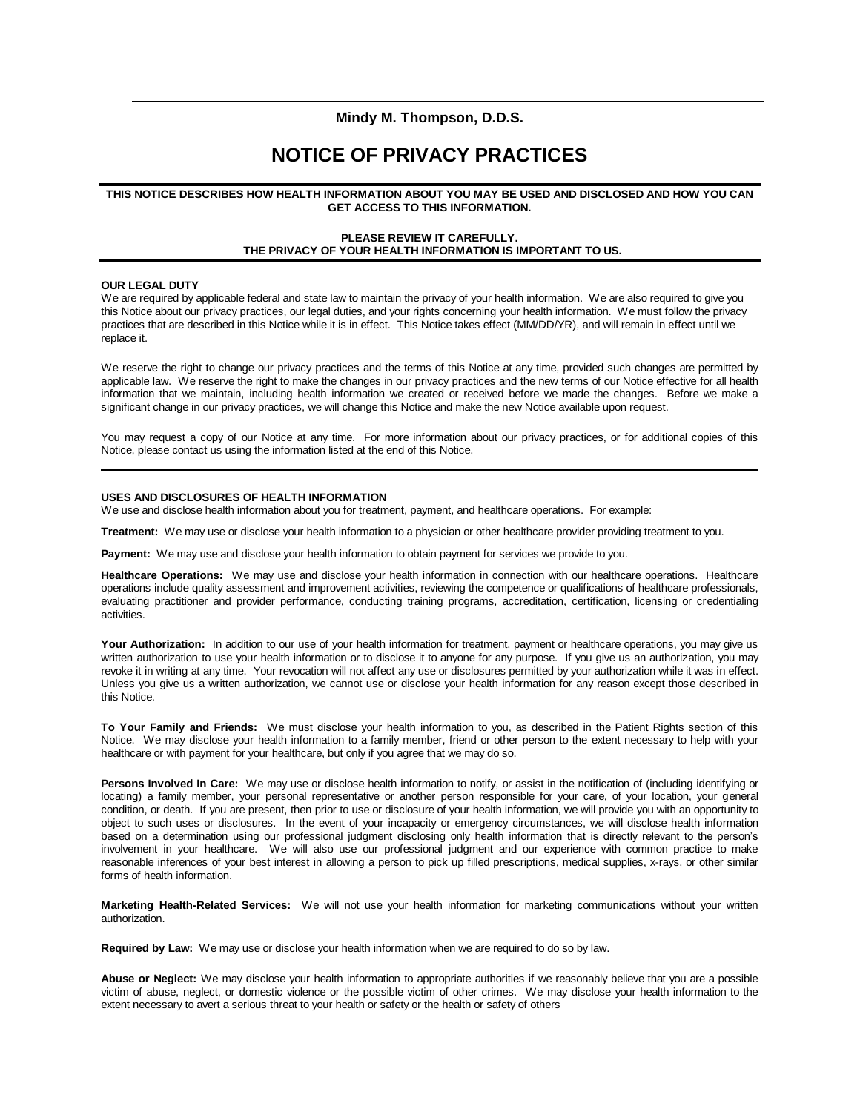## **Mindy M. Thompson, D.D.S.**

# **NOTICE OF PRIVACY PRACTICES**

#### **THIS NOTICE DESCRIBES HOW HEALTH INFORMATION ABOUT YOU MAY BE USED AND DISCLOSED AND HOW YOU CAN GET ACCESS TO THIS INFORMATION.**

### **PLEASE REVIEW IT CAREFULLY. THE PRIVACY OF YOUR HEALTH INFORMATION IS IMPORTANT TO US.**

## **OUR LEGAL DUTY**

We are required by applicable federal and state law to maintain the privacy of your health information. We are also required to give you this Notice about our privacy practices, our legal duties, and your rights concerning your health information. We must follow the privacy practices that are described in this Notice while it is in effect. This Notice takes effect (MM/DD/YR), and will remain in effect until we replace it.

We reserve the right to change our privacy practices and the terms of this Notice at any time, provided such changes are permitted by applicable law. We reserve the right to make the changes in our privacy practices and the new terms of our Notice effective for all health information that we maintain, including health information we created or received before we made the changes. Before we make a significant change in our privacy practices, we will change this Notice and make the new Notice available upon request.

You may request a copy of our Notice at any time. For more information about our privacy practices, or for additional copies of this Notice, please contact us using the information listed at the end of this Notice.

## **USES AND DISCLOSURES OF HEALTH INFORMATION**

We use and disclose health information about you for treatment, payment, and healthcare operations. For example:

**Treatment:** We may use or disclose your health information to a physician or other healthcare provider providing treatment to you.

**Payment:** We may use and disclose your health information to obtain payment for services we provide to you.

**Healthcare Operations:** We may use and disclose your health information in connection with our healthcare operations. Healthcare operations include quality assessment and improvement activities, reviewing the competence or qualifications of healthcare professionals, evaluating practitioner and provider performance, conducting training programs, accreditation, certification, licensing or credentialing activities.

Your Authorization: In addition to our use of your health information for treatment, payment or healthcare operations, you may give us written authorization to use your health information or to disclose it to anyone for any purpose. If you give us an authorization, you may revoke it in writing at any time. Your revocation will not affect any use or disclosures permitted by your authorization while it was in effect. Unless you give us a written authorization, we cannot use or disclose your health information for any reason except those described in this Notice.

**To Your Family and Friends:** We must disclose your health information to you, as described in the Patient Rights section of this Notice. We may disclose your health information to a family member, friend or other person to the extent necessary to help with your healthcare or with payment for your healthcare, but only if you agree that we may do so.

Persons Involved In Care: We may use or disclose health information to notify, or assist in the notification of (including identifying or locating) a family member, your personal representative or another person responsible for your care, of your location, your general condition, or death. If you are present, then prior to use or disclosure of your health information, we will provide you with an opportunity to object to such uses or disclosures. In the event of your incapacity or emergency circumstances, we will disclose health information based on a determination using our professional judgment disclosing only health information that is directly relevant to the person's involvement in your healthcare. We will also use our professional judgment and our experience with common practice to make reasonable inferences of your best interest in allowing a person to pick up filled prescriptions, medical supplies, x-rays, or other similar forms of health information.

**Marketing Health-Related Services:** We will not use your health information for marketing communications without your written authorization.

**Required by Law:** We may use or disclose your health information when we are required to do so by law.

**Abuse or Neglect:** We may disclose your health information to appropriate authorities if we reasonably believe that you are a possible victim of abuse, neglect, or domestic violence or the possible victim of other crimes. We may disclose your health information to the extent necessary to avert a serious threat to your health or safety or the health or safety of others